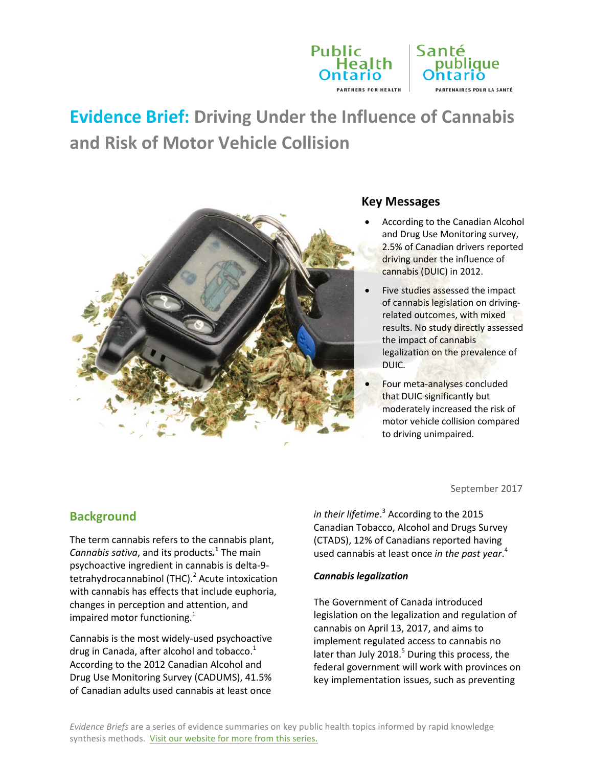

# **Evidence Brief: Driving Under the Influence of Cannabis and Risk of Motor Vehicle Collision**



#### **Key Messages**

- According to the Canadian Alcohol and Drug Use Monitoring survey, 2.5% of Canadian drivers reported driving under the influence of cannabis (DUIC) in 2012.
- Five studies assessed the impact of cannabis legislation on drivingrelated outcomes, with mixed results. No study directly assessed the impact of cannabis legalization on the prevalence of DUIC.
- Four meta-analyses concluded that DUIC significantly but moderately increased the risk of motor vehicle collision compared to driving unimpaired.

# **Background**

The term cannabis refers to the cannabis plant, *Cannabis sativa*, and its products*.* **<sup>1</sup>** The main psychoactive ingredient in cannabis is delta-9 tetrahydrocannabinol (THC).<sup>2</sup> Acute intoxication with cannabis has effects that include euphoria, changes in perception and attention, and impaired motor functioning.<sup>1</sup>

Cannabis is the most widely-used psychoactive drug in Canada, after alcohol and tobacco.<sup>1</sup> According to the 2012 Canadian Alcohol and Drug Use Monitoring Survey (CADUMS), 41.5% of Canadian adults used cannabis at least once

September 2017

*in their lifetime*. <sup>3</sup> According to the 2015 Canadian Tobacco, Alcohol and Drugs Survey (CTADS), 12% of Canadians reported having used cannabis at least once *in the past year*. 4

#### *Cannabis legalization*

The Government of Canada introduced legislation on the legalization and regulation of cannabis on April 13, 2017, and aims to implement regulated access to cannabis no later than July 2018.<sup>5</sup> During this process, the federal government will work with provinces on key implementation issues, such as preventing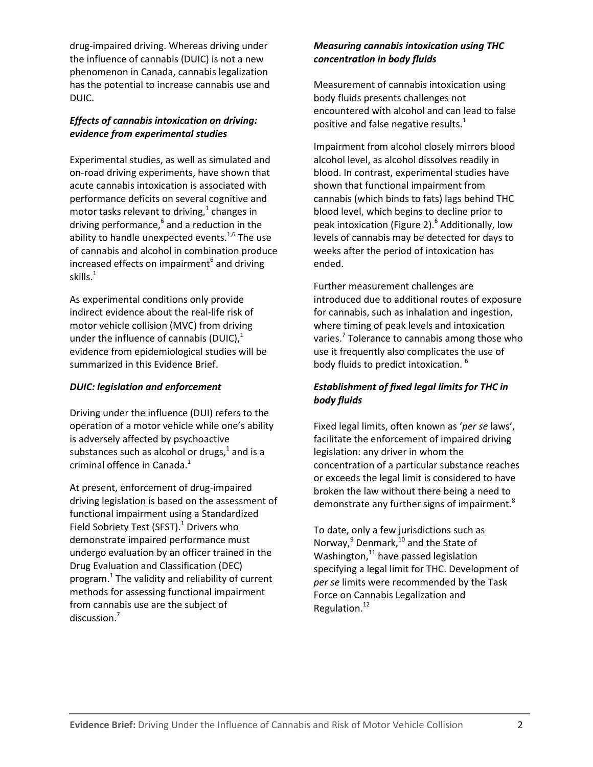drug-impaired driving. Whereas driving under the influence of cannabis (DUIC) is not a new phenomenon in Canada, cannabis legalization has the potential to increase cannabis use and DUIC.

#### *Effects of cannabis intoxication on driving: evidence from experimental studies*

Experimental studies, as well as simulated and on-road driving experiments, have shown that acute cannabis intoxication is associated with performance deficits on several cognitive and motor tasks relevant to driving,<sup>1</sup> changes in driving performance, <sup>6</sup> and a reduction in the ability to handle unexpected events.<sup>1,6</sup> The use of cannabis and alcohol in combination produce increased effects on impairment $<sup>6</sup>$  and driving</sup> skills. $1$ 

As experimental conditions only provide indirect evidence about the real-life risk of motor vehicle collision (MVC) from driving under the influence of cannabis (DUIC), $<sup>1</sup>$ </sup> evidence from epidemiological studies will be summarized in this Evidence Brief.

#### *DUIC: legislation and enforcement*

Driving under the influence (DUI) refers to the operation of a motor vehicle while one's ability is adversely affected by psychoactive substances such as alcohol or drugs, $^1$  and is a criminal offence in Canada. $<sup>1</sup>$ </sup>

At present, enforcement of drug-impaired driving legislation is based on the assessment of functional impairment using a Standardized Field Sobriety Test (SFST).<sup>1</sup> Drivers who demonstrate impaired performance must undergo evaluation by an officer trained in the Drug Evaluation and Classification (DEC) program. $<sup>1</sup>$  The validity and reliability of current</sup> methods for assessing functional impairment from cannabis use are the subject of discussion. 7

#### *Measuring cannabis intoxication using THC concentration in body fluids*

Measurement of cannabis intoxication using body fluids presents challenges not encountered with alcohol and can lead to false positive and false negative results.<sup>1</sup>

Impairment from alcohol closely mirrors blood alcohol level, as alcohol dissolves readily in blood. In contrast, experimental studies have shown that functional impairment from cannabis (which binds to fats) lags behind THC blood level, which begins to decline prior to peak intoxication (Figure 2). <sup>6</sup> Additionally, low levels of cannabis may be detected for days to weeks after the period of intoxication has ended.

Further measurement challenges are introduced due to additional routes of exposure for cannabis, such as inhalation and ingestion, where timing of peak levels and intoxication varies.<sup>7</sup> Tolerance to cannabis among those who use it frequently also complicates the use of body fluids to predict intoxication. <sup>6</sup>

## *Establishment of fixed legal limits for THC in body fluids*

Fixed legal limits, often known as '*per se* laws', facilitate the enforcement of impaired driving legislation: any driver in whom the concentration of a particular substance reaches or exceeds the legal limit is considered to have broken the law without there being a need to demonstrate any further signs of impairment.<sup>8</sup>

To date, only a few jurisdictions such as Norway,<sup>9</sup> Denmark,<sup>10</sup> and the State of Washington,<sup>11</sup> have passed legislation specifying a legal limit for THC. Development of *per se* limits were recommended by the Task Force on Cannabis Legalization and Regulation. 12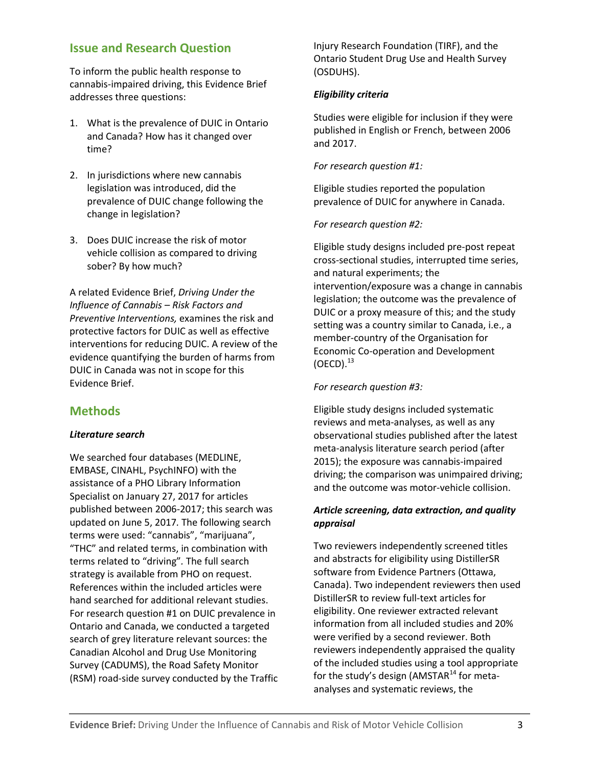# **Issue and Research Question**

To inform the public health response to cannabis-impaired driving, this Evidence Brief addresses three questions:

- 1. What is the prevalence of DUIC in Ontario and Canada? How has it changed over time?
- 2. In jurisdictions where new cannabis legislation was introduced, did the prevalence of DUIC change following the change in legislation?
- 3. Does DUIC increase the risk of motor vehicle collision as compared to driving sober? By how much?

A related Evidence Brief, *Driving Under the Influence of Cannabis – Risk Factors and Preventive Interventions,* examines the risk and protective factors for DUIC as well as effective interventions for reducing DUIC. A review of the evidence quantifying the burden of harms from DUIC in Canada was not in scope for this Evidence Brief.

# **Methods**

#### *Literature search*

We searched four databases (MEDLINE, EMBASE, CINAHL, PsychINFO) with the assistance of a PHO Library Information Specialist on January 27, 2017 for articles published between 2006-2017; this search was updated on June 5, 2017*.* The following search terms were used: "cannabis", "marijuana", "THC" and related terms, in combination with terms related to "driving"*.* The full search strategy is available from PHO on request. References within the included articles were hand searched for additional relevant studies. For research question #1 on DUIC prevalence in Ontario and Canada, we conducted a targeted search of grey literature relevant sources: the Canadian Alcohol and Drug Use Monitoring Survey (CADUMS), the Road Safety Monitor (RSM) road-side survey conducted by the Traffic Injury Research Foundation (TIRF), and the Ontario Student Drug Use and Health Survey (OSDUHS).

#### *Eligibility criteria*

Studies were eligible for inclusion if they were published in English or French, between 2006 and 2017.

#### *For research question #1:*

Eligible studies reported the population prevalence of DUIC for anywhere in Canada.

#### *For research question #2:*

Eligible study designs included pre-post repeat cross-sectional studies, interrupted time series, and natural experiments; the intervention/exposure was a change in cannabis legislation; the outcome was the prevalence of DUIC or a proxy measure of this; and the study setting was a country similar to Canada, i.e., a member-country of the Organisation for Economic Co-operation and Development  $(OECD).<sup>13</sup>$ 

#### *For research question #3:*

Eligible study designs included systematic reviews and meta-analyses, as well as any observational studies published after the latest meta-analysis literature search period (after 2015); the exposure was cannabis-impaired driving; the comparison was unimpaired driving; and the outcome was motor-vehicle collision.

#### *Article screening, data extraction, and quality appraisal*

Two reviewers independently screened titles and abstracts for eligibility using DistillerSR software from Evidence Partners (Ottawa, Canada). Two independent reviewers then used DistillerSR to review full-text articles for eligibility. One reviewer extracted relevant information from all included studies and 20% were verified by a second reviewer. Both reviewers independently appraised the quality of the included studies using a tool appropriate for the study's design (AMSTAR $^{14}$  for metaanalyses and systematic reviews, the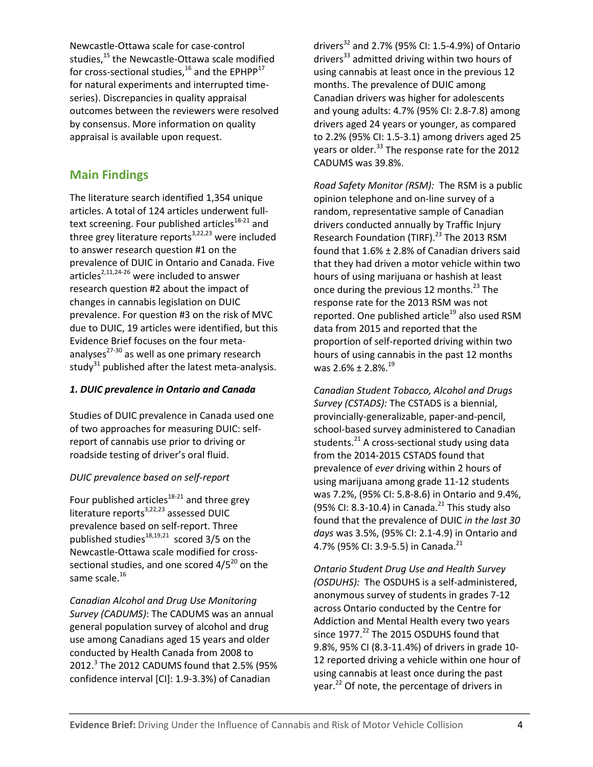Newcastle-Ottawa scale for case-control studies,<sup>15</sup> the Newcastle-Ottawa scale modified for cross-sectional studies,  $^{16}$  and the EPHPP $^{17}$ for natural experiments and interrupted timeseries). Discrepancies in quality appraisal outcomes between the reviewers were resolved by consensus. More information on quality appraisal is available upon request.

# **Main Findings**

The literature search identified 1,354 unique articles. A total of 124 articles underwent fulltext screening. Four published articles $18-21$  and three grey literature reports $3,22,23$  were included to answer research question #1 on the prevalence of DUIC in Ontario and Canada. Five articles<sup>2,11,24-26</sup> were included to answer research question #2 about the impact of changes in cannabis legislation on DUIC prevalence. For question #3 on the risk of MVC due to DUIC, 19 articles were identified, but this Evidence Brief focuses on the four metaanalyses<sup>27-30</sup> as well as one primary research study<sup>31</sup> published after the latest meta-analysis.

## *1. DUIC prevalence in Ontario and Canada*

Studies of DUIC prevalence in Canada used one of two approaches for measuring DUIC: selfreport of cannabis use prior to driving or roadside testing of driver's oral fluid.

## *DUIC prevalence based on self-report*

Four published articles<sup>18-21</sup> and three grey literature reports<sup>3,22,23</sup> assessed DUIC prevalence based on self-report. Three published studies $18,19,21$  scored 3/5 on the Newcastle-Ottawa scale modified for crosssectional studies, and one scored  $4/5^{20}$  on the same scale.<sup>16</sup>

*Canadian Alcohol and Drug Use Monitoring Survey (CADUMS)*: The CADUMS was an annual general population survey of alcohol and drug use among Canadians aged 15 years and older conducted by Health Canada from 2008 to 2012.<sup>3</sup> The 2012 CADUMS found that 2.5% (95% confidence interval [CI]: 1.9-3.3%) of Canadian

drivers<sup>32</sup> and 2.7% (95% CI: 1.5-4.9%) of Ontario drivers<sup>33</sup> admitted driving within two hours of using cannabis at least once in the previous 12 months. The prevalence of DUIC among Canadian drivers was higher for adolescents and young adults: 4.7% (95% CI: 2.8-7.8) among drivers aged 24 years or younger, as compared to 2.2% (95% CI: 1.5-3.1) among drivers aged 25 years or older.<sup>33</sup> The response rate for the 2012 CADUMS was 39.8%.

*Road Safety Monitor (RSM):* The RSM is a public opinion telephone and on-line survey of a random, representative sample of Canadian drivers conducted annually by Traffic Injury Research Foundation (TIRF).<sup>23</sup> The 2013 RSM found that 1.6% ± 2.8% of Canadian drivers said that they had driven a motor vehicle within two hours of using marijuana or hashish at least once during the previous 12 months. <sup>23</sup> The response rate for the 2013 RSM was not reported. One published article<sup>19</sup> also used RSM data from 2015 and reported that the proportion of self-reported driving within two hours of using cannabis in the past 12 months was  $2.6\% \pm 2.8\%$ . $^{19}$ 

*Canadian Student Tobacco, Alcohol and Drugs Survey (CSTADS):* The CSTADS is a biennial, provincially-generalizable, paper-and-pencil, school-based survey administered to Canadian students.<sup>21</sup> A cross-sectional study using data from the 2014-2015 CSTADS found that prevalence of *ever* driving within 2 hours of using marijuana among grade 11-12 students was 7.2%, (95% CI: 5.8-8.6) in Ontario and 9.4%, (95% CI: 8.3-10.4) in Canada.<sup>21</sup> This study also found that the prevalence of DUIC *in the last 30 days* was 3.5%, (95% CI: 2.1-4.9) in Ontario and 4.7% (95% CI: 3.9-5.5) in Canada.<sup>21</sup>

*Ontario Student Drug Use and Health Survey (OSDUHS):* The OSDUHS is a self-administered, anonymous survey of students in grades 7-12 across Ontario conducted by the Centre for Addiction and Mental Health every two years since 1977.<sup>22</sup> The 2015 OSDUHS found that 9.8%, 95% CI (8.3-11.4%) of drivers in grade 10- 12 reported driving a vehicle within one hour of using cannabis at least once during the past year.<sup>22</sup> Of note, the percentage of drivers in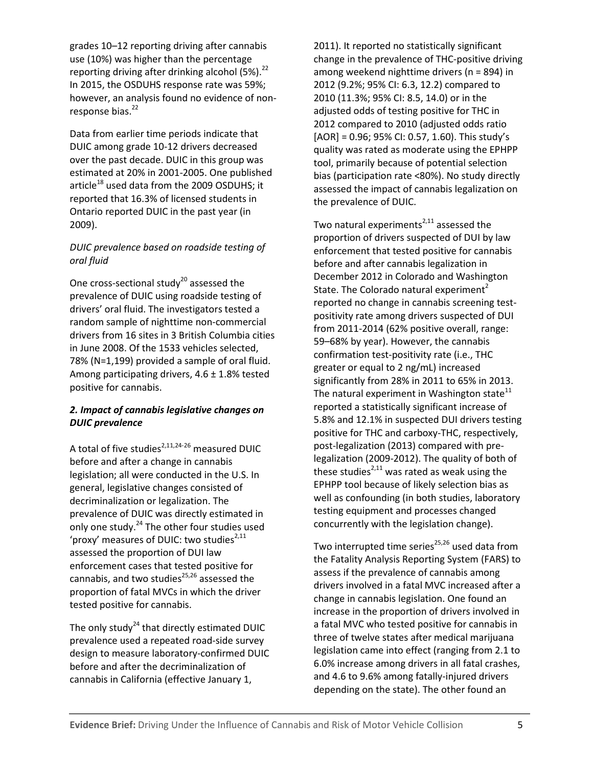grades 10–12 reporting driving after cannabis use (10%) was higher than the percentage reporting driving after drinking alcohol (5%).<sup>22</sup> In 2015, the OSDUHS response rate was 59%; however, an analysis found no evidence of nonresponse bias.<sup>22</sup>

Data from earlier time periods indicate that DUIC among grade 10-12 drivers decreased over the past decade. DUIC in this group was estimated at 20% in 2001-2005. One published article<sup>18</sup> used data from the 2009 OSDUHS; it reported that 16.3% of licensed students in Ontario reported DUIC in the past year (in 2009).

#### *DUIC prevalence based on roadside testing of oral fluid*

One cross-sectional study $^{20}$  assessed the prevalence of DUIC using roadside testing of drivers' oral fluid. The investigators tested a random sample of nighttime non-commercial drivers from 16 sites in 3 British Columbia cities in June 2008. Of the 1533 vehicles selected, 78% (N=1,199) provided a sample of oral fluid. Among participating drivers,  $4.6 \pm 1.8\%$  tested positive for cannabis.

#### *2. Impact of cannabis legislative changes on DUIC prevalence*

A total of five studies $^{2,11,24-26}$  measured DUIC before and after a change in cannabis legislation; all were conducted in the U.S. In general, legislative changes consisted of decriminalization or legalization. The prevalence of DUIC was directly estimated in only one study.<sup>24</sup> The other four studies used 'proxy' measures of DUIC: two studies $^{2,11}$ assessed the proportion of DUI law enforcement cases that tested positive for cannabis, and two studies<sup>25,26</sup> assessed the proportion of fatal MVCs in which the driver tested positive for cannabis.

The only study $^{24}$  that directly estimated DUIC prevalence used a repeated road-side survey design to measure laboratory-confirmed DUIC before and after the decriminalization of cannabis in California (effective January 1,

2011). It reported no statistically significant change in the prevalence of THC-positive driving among weekend nighttime drivers (n = 894) in 2012 (9.2%; 95% CI: 6.3, 12.2) compared to 2010 (11.3%; 95% CI: 8.5, 14.0) or in the adjusted odds of testing positive for THC in 2012 compared to 2010 (adjusted odds ratio [AOR] = 0.96; 95% CI: 0.57, 1.60). This study's quality was rated as moderate using the EPHPP tool, primarily because of potential selection bias (participation rate <80%). No study directly assessed the impact of cannabis legalization on the prevalence of DUIC.

Two natural experiments<sup>2,11</sup> assessed the proportion of drivers suspected of DUI by law enforcement that tested positive for cannabis before and after cannabis legalization in December 2012 in Colorado and Washington State. The Colorado natural experiment<sup>2</sup> reported no change in cannabis screening testpositivity rate among drivers suspected of DUI from 2011-2014 (62% positive overall, range: 59–68% by year). However, the cannabis confirmation test-positivity rate (i.e., THC greater or equal to 2 ng/mL) increased significantly from 28% in 2011 to 65% in 2013. The natural experiment in Washington state $11$ reported a statistically significant increase of 5.8% and 12.1% in suspected DUI drivers testing positive for THC and carboxy-THC, respectively, post-legalization (2013) compared with prelegalization (2009-2012). The quality of both of these studies<sup>2,11</sup> was rated as weak using the EPHPP tool because of likely selection bias as well as confounding (in both studies, laboratory testing equipment and processes changed concurrently with the legislation change).

Two interrupted time series<sup>25,26</sup> used data from the Fatality Analysis Reporting System (FARS) to assess if the prevalence of cannabis among drivers involved in a fatal MVC increased after a change in cannabis legislation. One found an increase in the proportion of drivers involved in a fatal MVC who tested positive for cannabis in three of twelve states after medical marijuana legislation came into effect (ranging from 2.1 to 6.0% increase among drivers in all fatal crashes, and 4.6 to 9.6% among fatally-injured drivers depending on the state). The other found an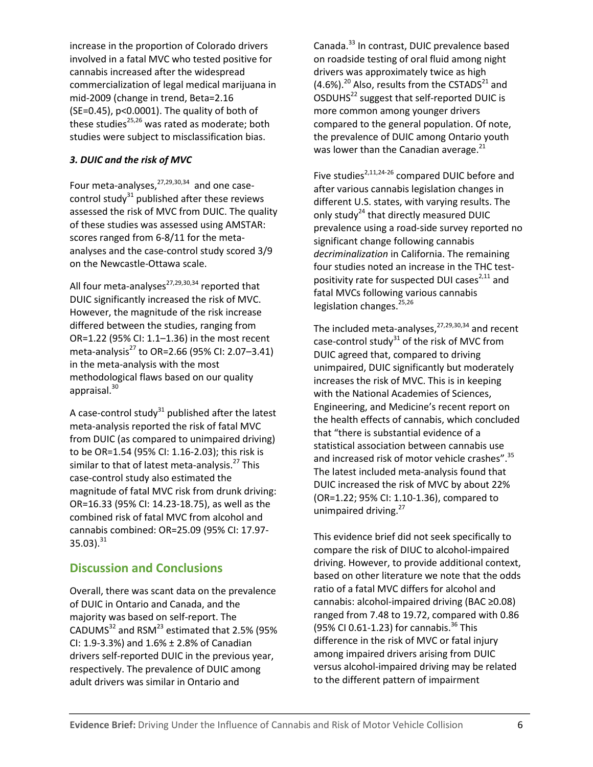increase in the proportion of Colorado drivers involved in a fatal MVC who tested positive for cannabis increased after the widespread commercialization of legal medical marijuana in mid-2009 (change in trend, Beta=2.16 (SE=0.45), p<0.0001). The quality of both of these studies $^{25,26}$  was rated as moderate; both studies were subject to misclassification bias.

## *3. DUIC and the risk of MVC*

Four meta-analyses,<sup>27,29,30,34</sup> and one casecontrol study $31$  published after these reviews assessed the risk of MVC from DUIC. The quality of these studies was assessed using AMSTAR: scores ranged from 6-8/11 for the metaanalyses and the case-control study scored 3/9 on the Newcastle-Ottawa scale.

All four meta-analyses<sup>27,29,30,34</sup> reported that DUIC significantly increased the risk of MVC. However, the magnitude of the risk increase differed between the studies, ranging from OR=1.22 (95% CI: 1.1–1.36) in the most recent meta-analysis<sup>27</sup> to OR=2.66 (95% CI: 2.07-3.41) in the meta-analysis with the most methodological flaws based on our quality appraisal. 30

A case-control study $31$  published after the latest meta-analysis reported the risk of fatal MVC from DUIC (as compared to unimpaired driving) to be OR=1.54 (95% CI: 1.16-2.03); this risk is similar to that of latest meta-analysis.<sup>27</sup> This case-control study also estimated the magnitude of fatal MVC risk from drunk driving: OR=16.33 (95% CI: 14.23-18.75), as well as the combined risk of fatal MVC from alcohol and cannabis combined: OR=25.09 (95% CI: 17.97- 35.03). $^{31}$ 

# **Discussion and Conclusions**

Overall, there was scant data on the prevalence of DUIC in Ontario and Canada, and the majority was based on self-report. The CADUMS $^{32}$  and RSM $^{23}$  estimated that 2.5% (95% CI: 1.9-3.3%) and 1.6% ± 2.8% of Canadian drivers self-reported DUIC in the previous year, respectively. The prevalence of DUIC among adult drivers was similar in Ontario and

Canada.<sup>33</sup> In contrast, DUIC prevalence based on roadside testing of oral fluid among night drivers was approximately twice as high  $(4.6\%)$ <sup>20</sup> Also, results from the CSTADS<sup>21</sup> and OSDUHS22 suggest that self-reported DUIC is more common among younger drivers compared to the general population. Of note, the prevalence of DUIC among Ontario youth was lower than the Canadian average. $^{21}$ 

Five studies<sup>2,11,24-26</sup> compared DUIC before and after various cannabis legislation changes in different U.S. states, with varying results. The only study<sup>24</sup> that directly measured DUIC prevalence using a road-side survey reported no significant change following cannabis *decriminalization* in California. The remaining four studies noted an increase in the THC testpositivity rate for suspected DUI cases $^{2,11}$  and fatal MVCs following various cannabis legislation changes.<sup>25,26</sup>

The included meta-analyses,<sup>27,29,30,34</sup> and recent case-control study $31$  of the risk of MVC from DUIC agreed that, compared to driving unimpaired, DUIC significantly but moderately increases the risk of MVC. This is in keeping with the National Academies of Sciences, Engineering, and Medicine's recent report on the health effects of cannabis, which concluded that "there is substantial evidence of a statistical association between cannabis use and increased risk of motor vehicle crashes".<sup>35</sup> The latest included meta-analysis found that DUIC increased the risk of MVC by about 22% (OR=1.22; 95% CI: 1.10-1.36), compared to unimpaired driving.<sup>27</sup>

This evidence brief did not seek specifically to compare the risk of DIUC to alcohol-impaired driving. However, to provide additional context, based on other literature we note that the odds ratio of a fatal MVC differs for alcohol and cannabis: alcohol-impaired driving (BAC ≥0.08) ranged from 7.48 to 19.72, compared with 0.86 (95% CI 0.61-1.23) for cannabis.<sup>36</sup> This difference in the risk of MVC or fatal injury among impaired drivers arising from DUIC versus alcohol-impaired driving may be related to the different pattern of impairment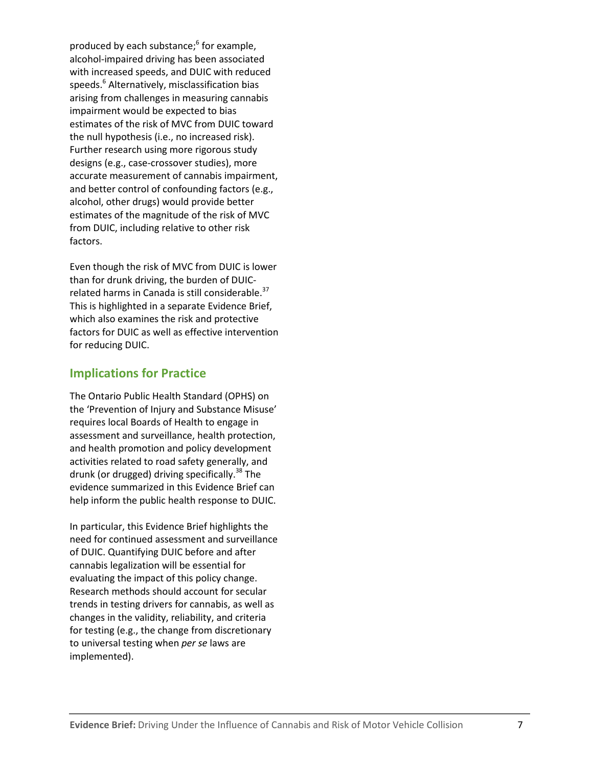produced by each substance; <sup>6</sup> for example, alcohol-impaired driving has been associated with increased speeds, and DUIC with reduced speeds.<sup>6</sup> Alternatively, misclassification bias arising from challenges in measuring cannabis impairment would be expected to bias estimates of the risk of MVC from DUIC toward the null hypothesis (i.e., no increased risk). Further research using more rigorous study designs (e.g., case-crossover studies), more accurate measurement of cannabis impairment, and better control of confounding factors (e.g., alcohol, other drugs) would provide better estimates of the magnitude of the risk of MVC from DUIC, including relative to other risk factors.

Even though the risk of MVC from DUIC is lower than for drunk driving, the burden of DUICrelated harms in Canada is still considerable.<sup>37</sup> This is highlighted in a separate Evidence Brief, which also examines the risk and protective factors for DUIC as well as effective intervention for reducing DUIC.

# **Implications for Practice**

The Ontario Public Health Standard (OPHS) on the 'Prevention of Injury and Substance Misuse' requires local Boards of Health to engage in assessment and surveillance, health protection, and health promotion and policy development activities related to road safety generally, and drunk (or drugged) driving specifically.<sup>38</sup> The evidence summarized in this Evidence Brief can help inform the public health response to DUIC.

In particular, this Evidence Brief highlights the need for continued assessment and surveillance of DUIC. Quantifying DUIC before and after cannabis legalization will be essential for evaluating the impact of this policy change. Research methods should account for secular trends in testing drivers for cannabis, as well as changes in the validity, reliability, and criteria for testing (e.g., the change from discretionary to universal testing when *per se* laws are implemented).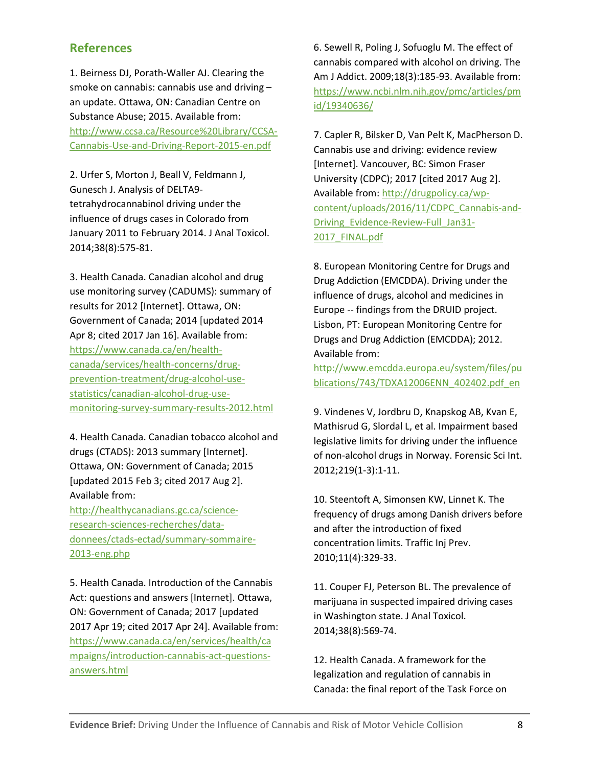# **References**

1. Beirness DJ, Porath-Waller AJ. Clearing the smoke on cannabis: cannabis use and driving – an update. Ottawa, ON: Canadian Centre on Substance Abuse; 2015. Available from: [http://www.ccsa.ca/Resource%20Library/CCSA-](http://www.ccsa.ca/Resource%20Library/CCSA-Cannabis-Use-and-Driving-Report-2015-en.pdf)[Cannabis-Use-and-Driving-Report-2015-en.pdf](http://www.ccsa.ca/Resource%20Library/CCSA-Cannabis-Use-and-Driving-Report-2015-en.pdf)

2. Urfer S, Morton J, Beall V, Feldmann J, Gunesch J. Analysis of DELTA9 tetrahydrocannabinol driving under the influence of drugs cases in Colorado from January 2011 to February 2014. J Anal Toxicol. 2014;38(8):575-81.

3. Health Canada. Canadian alcohol and drug use monitoring survey (CADUMS): summary of results for 2012 [Internet]. Ottawa, ON: Government of Canada; 2014 [updated 2014 Apr 8; cited 2017 Jan 16]. Available from: [https://www.canada.ca/en/health](https://www.canada.ca/en/health-canada/services/health-concerns/drug-prevention-treatment/drug-alcohol-use-statistics/canadian-alcohol-drug-use-monitoring-survey-summary-results-2012.html)[canada/services/health-concerns/drug](https://www.canada.ca/en/health-canada/services/health-concerns/drug-prevention-treatment/drug-alcohol-use-statistics/canadian-alcohol-drug-use-monitoring-survey-summary-results-2012.html)[prevention-treatment/drug-alcohol-use](https://www.canada.ca/en/health-canada/services/health-concerns/drug-prevention-treatment/drug-alcohol-use-statistics/canadian-alcohol-drug-use-monitoring-survey-summary-results-2012.html)[statistics/canadian-alcohol-drug-use](https://www.canada.ca/en/health-canada/services/health-concerns/drug-prevention-treatment/drug-alcohol-use-statistics/canadian-alcohol-drug-use-monitoring-survey-summary-results-2012.html)[monitoring-survey-summary-results-2012.html](https://www.canada.ca/en/health-canada/services/health-concerns/drug-prevention-treatment/drug-alcohol-use-statistics/canadian-alcohol-drug-use-monitoring-survey-summary-results-2012.html)

4. Health Canada. Canadian tobacco alcohol and drugs (CTADS): 2013 summary [Internet]. Ottawa, ON: Government of Canada; 2015 [updated 2015 Feb 3; cited 2017 Aug 2]. Available from:

[http://healthycanadians.gc.ca/science](http://healthycanadians.gc.ca/science-research-sciences-recherches/data-donnees/ctads-ectad/summary-sommaire-2013-eng.php)[research-sciences-recherches/data](http://healthycanadians.gc.ca/science-research-sciences-recherches/data-donnees/ctads-ectad/summary-sommaire-2013-eng.php)[donnees/ctads-ectad/summary-sommaire-](http://healthycanadians.gc.ca/science-research-sciences-recherches/data-donnees/ctads-ectad/summary-sommaire-2013-eng.php)[2013-eng.php](http://healthycanadians.gc.ca/science-research-sciences-recherches/data-donnees/ctads-ectad/summary-sommaire-2013-eng.php)

5. Health Canada. Introduction of the Cannabis Act: questions and answers [Internet]. Ottawa, ON: Government of Canada; 2017 [updated 2017 Apr 19; cited 2017 Apr 24]. Available from: [https://www.canada.ca/en/services/health/ca](https://www.canada.ca/en/services/health/campaigns/introduction-cannabis-act-questions-answers.html) [mpaigns/introduction-cannabis-act-questions](https://www.canada.ca/en/services/health/campaigns/introduction-cannabis-act-questions-answers.html)[answers.html](https://www.canada.ca/en/services/health/campaigns/introduction-cannabis-act-questions-answers.html)

6. Sewell R, Poling J, Sofuoglu M. The effect of cannabis compared with alcohol on driving. The Am J Addict. 2009;18(3):185-93. Available from: [https://www.ncbi.nlm.nih.gov/pmc/articles/pm](https://www.ncbi.nlm.nih.gov/pmc/articles/pmid/19340636/) [id/19340636/](https://www.ncbi.nlm.nih.gov/pmc/articles/pmid/19340636/)

7. Capler R, Bilsker D, Van Pelt K, MacPherson D. Cannabis use and driving: evidence review [Internet]. Vancouver, BC: Simon Fraser University (CDPC); 2017 [cited 2017 Aug 2]. Available from: [http://drugpolicy.ca/wp](http://drugpolicy.ca/wp-content/uploads/2016/11/CDPC_Cannabis-and-Driving_Evidence-Review-Full_Jan31-2017_FINAL.pdf)[content/uploads/2016/11/CDPC\\_Cannabis-and-](http://drugpolicy.ca/wp-content/uploads/2016/11/CDPC_Cannabis-and-Driving_Evidence-Review-Full_Jan31-2017_FINAL.pdf)[Driving\\_Evidence-Review-Full\\_Jan31-](http://drugpolicy.ca/wp-content/uploads/2016/11/CDPC_Cannabis-and-Driving_Evidence-Review-Full_Jan31-2017_FINAL.pdf) [2017\\_FINAL.pdf](http://drugpolicy.ca/wp-content/uploads/2016/11/CDPC_Cannabis-and-Driving_Evidence-Review-Full_Jan31-2017_FINAL.pdf)

8. European Monitoring Centre for Drugs and Drug Addiction (EMCDDA). Driving under the influence of drugs, alcohol and medicines in Europe -- findings from the DRUID project. Lisbon, PT: European Monitoring Centre for Drugs and Drug Addiction (EMCDDA); 2012. Available from:

[http://www.emcdda.europa.eu/system/files/pu](http://www.emcdda.europa.eu/system/files/publications/743/TDXA12006ENN_402402.pdf_en) [blications/743/TDXA12006ENN\\_402402.pdf\\_en](http://www.emcdda.europa.eu/system/files/publications/743/TDXA12006ENN_402402.pdf_en)

9. Vindenes V, Jordbru D, Knapskog AB, Kvan E, Mathisrud G, Slordal L, et al. Impairment based legislative limits for driving under the influence of non-alcohol drugs in Norway. Forensic Sci Int. 2012;219(1-3):1-11.

10. Steentoft A, Simonsen KW, Linnet K. The frequency of drugs among Danish drivers before and after the introduction of fixed concentration limits. Traffic Inj Prev. 2010;11(4):329-33.

11. Couper FJ, Peterson BL. The prevalence of marijuana in suspected impaired driving cases in Washington state. J Anal Toxicol. 2014;38(8):569-74.

12. Health Canada. A framework for the legalization and regulation of cannabis in Canada: the final report of the Task Force on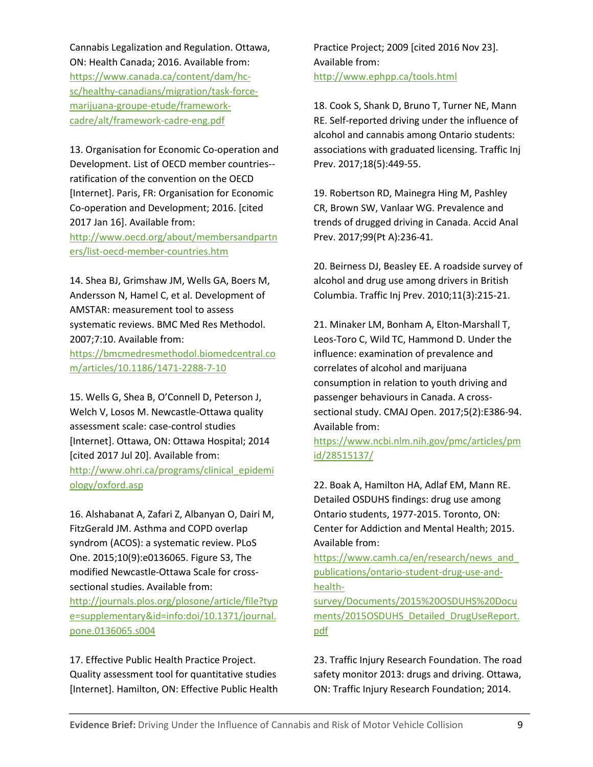Cannabis Legalization and Regulation. Ottawa, ON: Health Canada; 2016. Available from: [https://www.canada.ca/content/dam/hc](https://www.canada.ca/content/dam/hc-sc/healthy-canadians/migration/task-force-marijuana-groupe-etude/framework-cadre/alt/framework-cadre-eng.pdf)[sc/healthy-canadians/migration/task-force](https://www.canada.ca/content/dam/hc-sc/healthy-canadians/migration/task-force-marijuana-groupe-etude/framework-cadre/alt/framework-cadre-eng.pdf)[marijuana-groupe-etude/framework](https://www.canada.ca/content/dam/hc-sc/healthy-canadians/migration/task-force-marijuana-groupe-etude/framework-cadre/alt/framework-cadre-eng.pdf)[cadre/alt/framework-cadre-eng.pdf](https://www.canada.ca/content/dam/hc-sc/healthy-canadians/migration/task-force-marijuana-groupe-etude/framework-cadre/alt/framework-cadre-eng.pdf)

13. Organisation for Economic Co-operation and Development. List of OECD member countries- ratification of the convention on the OECD [Internet]. Paris, FR: Organisation for Economic Co-operation and Development; 2016. [cited 2017 Jan 16]. Available from: [http://www.oecd.org/about/membersandpartn](http://www.oecd.org/about/membersandpartners/list-oecd-member-countries.htm) [ers/list-oecd-member-countries.htm](http://www.oecd.org/about/membersandpartners/list-oecd-member-countries.htm)

14. Shea BJ, Grimshaw JM, Wells GA, Boers M, Andersson N, Hamel C, et al. Development of AMSTAR: measurement tool to assess systematic reviews. BMC Med Res Methodol. 2007;7:10. Available from: [https://bmcmedresmethodol.biomedcentral.co](https://bmcmedresmethodol.biomedcentral.com/articles/10.1186/1471-2288-7-10) [m/articles/10.1186/1471-2288-7-10](https://bmcmedresmethodol.biomedcentral.com/articles/10.1186/1471-2288-7-10)

15. Wells G, Shea B, O'Connell D, Peterson J, Welch V, Losos M. Newcastle-Ottawa quality assessment scale: case-control studies [Internet]. Ottawa, ON: Ottawa Hospital; 2014 [cited 2017 Jul 20]. Available from: [http://www.ohri.ca/programs/clinical\\_epidemi](http://www.ohri.ca/programs/clinical_epidemiology/oxford.asp) [ology/oxford.asp](http://www.ohri.ca/programs/clinical_epidemiology/oxford.asp)

16. Alshabanat A, Zafari Z, Albanyan O, Dairi M, FitzGerald JM. Asthma and COPD overlap syndrom (ACOS): a systematic review. PLoS One. 2015;10(9):e0136065. Figure S3, The modified Newcastle-Ottawa Scale for crosssectional studies. Available from:

[http://journals.plos.org/plosone/article/file?typ](http://journals.plos.org/plosone/article/file?type=supplementary&id=info:doi/10.1371/journal.pone.0136065.s004) [e=supplementary&id=info:doi/10.1371/journal.](http://journals.plos.org/plosone/article/file?type=supplementary&id=info:doi/10.1371/journal.pone.0136065.s004) [pone.0136065.s004](http://journals.plos.org/plosone/article/file?type=supplementary&id=info:doi/10.1371/journal.pone.0136065.s004)

17. Effective Public Health Practice Project. Quality assessment tool for quantitative studies [Internet]. Hamilton, ON: Effective Public Health

Practice Project; 2009 [cited 2016 Nov 23]. Available from: <http://www.ephpp.ca/tools.html>

18. Cook S, Shank D, Bruno T, Turner NE, Mann RE. Self-reported driving under the influence of alcohol and cannabis among Ontario students: associations with graduated licensing. Traffic Inj Prev. 2017;18(5):449-55.

19. Robertson RD, Mainegra Hing M, Pashley CR, Brown SW, Vanlaar WG. Prevalence and trends of drugged driving in Canada. Accid Anal Prev. 2017;99(Pt A):236-41.

20. Beirness DJ, Beasley EE. A roadside survey of alcohol and drug use among drivers in British Columbia. Traffic Inj Prev. 2010;11(3):215-21.

21. Minaker LM, Bonham A, Elton-Marshall T, Leos-Toro C, Wild TC, Hammond D. Under the influence: examination of prevalence and correlates of alcohol and marijuana consumption in relation to youth driving and passenger behaviours in Canada. A crosssectional study. CMAJ Open. 2017;5(2):E386-94. Available from:

[https://www.ncbi.nlm.nih.gov/pmc/articles/pm](https://www.ncbi.nlm.nih.gov/pmc/articles/pmid/28515137/) [id/28515137/](https://www.ncbi.nlm.nih.gov/pmc/articles/pmid/28515137/)

22. Boak A, Hamilton HA, Adlaf EM, Mann RE. Detailed OSDUHS findings: drug use among Ontario students, 1977-2015. Toronto, ON: Center for Addiction and Mental Health; 2015. Available from:

[https://www.camh.ca/en/research/news\\_and\\_](https://www.camh.ca/en/research/news_and_publications/ontario-student-drug-use-and-health-survey/Documents/2015%20OSDUHS%20Documents/2015OSDUHS_Detailed_DrugUseReport.pdf) [publications/ontario-student-drug-use-and](https://www.camh.ca/en/research/news_and_publications/ontario-student-drug-use-and-health-survey/Documents/2015%20OSDUHS%20Documents/2015OSDUHS_Detailed_DrugUseReport.pdf)[health-](https://www.camh.ca/en/research/news_and_publications/ontario-student-drug-use-and-health-survey/Documents/2015%20OSDUHS%20Documents/2015OSDUHS_Detailed_DrugUseReport.pdf)

[survey/Documents/2015%20OSDUHS%20Docu](https://www.camh.ca/en/research/news_and_publications/ontario-student-drug-use-and-health-survey/Documents/2015%20OSDUHS%20Documents/2015OSDUHS_Detailed_DrugUseReport.pdf) [ments/2015OSDUHS\\_Detailed\\_DrugUseReport.](https://www.camh.ca/en/research/news_and_publications/ontario-student-drug-use-and-health-survey/Documents/2015%20OSDUHS%20Documents/2015OSDUHS_Detailed_DrugUseReport.pdf) [pdf](https://www.camh.ca/en/research/news_and_publications/ontario-student-drug-use-and-health-survey/Documents/2015%20OSDUHS%20Documents/2015OSDUHS_Detailed_DrugUseReport.pdf)

23. Traffic Injury Research Foundation. The road safety monitor 2013: drugs and driving. Ottawa, ON: Traffic Injury Research Foundation; 2014.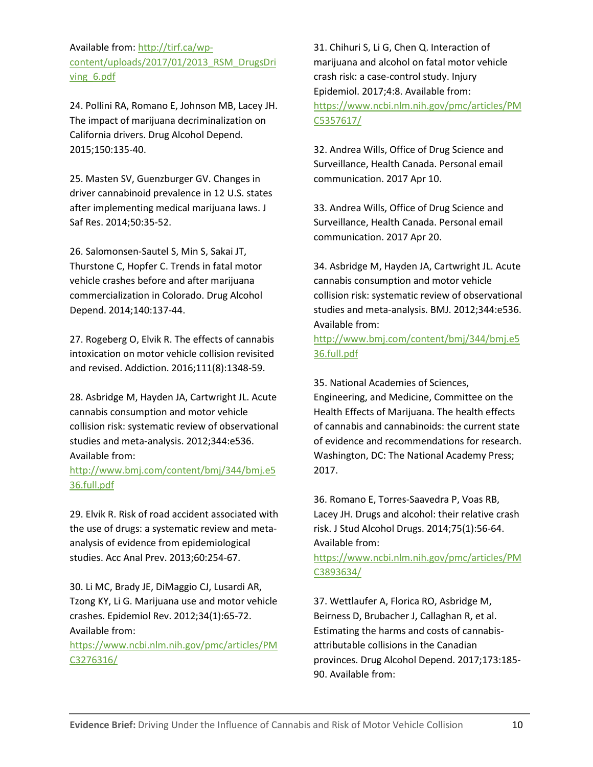Available from: [http://tirf.ca/wp](http://tirf.ca/wp-content/uploads/2017/01/2013_RSM_DrugsDriving_6.pdf)[content/uploads/2017/01/2013\\_RSM\\_DrugsDri](http://tirf.ca/wp-content/uploads/2017/01/2013_RSM_DrugsDriving_6.pdf) [ving\\_6.pdf](http://tirf.ca/wp-content/uploads/2017/01/2013_RSM_DrugsDriving_6.pdf)

24. Pollini RA, Romano E, Johnson MB, Lacey JH. The impact of marijuana decriminalization on California drivers. Drug Alcohol Depend. 2015;150:135-40.

25. Masten SV, Guenzburger GV. Changes in driver cannabinoid prevalence in 12 U.S. states after implementing medical marijuana laws. J Saf Res. 2014;50:35-52.

26. Salomonsen-Sautel S, Min S, Sakai JT, Thurstone C, Hopfer C. Trends in fatal motor vehicle crashes before and after marijuana commercialization in Colorado. Drug Alcohol Depend. 2014;140:137-44.

27. Rogeberg O, Elvik R. The effects of cannabis intoxication on motor vehicle collision revisited and revised. Addiction. 2016;111(8):1348-59.

28. Asbridge M, Hayden JA, Cartwright JL. Acute cannabis consumption and motor vehicle collision risk: systematic review of observational studies and meta-analysis. 2012;344:e536. Available from:

[http://www.bmj.com/content/bmj/344/bmj.e5](http://www.bmj.com/content/bmj/344/bmj.e536.full.pdf) [36.full.pdf](http://www.bmj.com/content/bmj/344/bmj.e536.full.pdf)

29. Elvik R. Risk of road accident associated with the use of drugs: a systematic review and metaanalysis of evidence from epidemiological studies. Acc Anal Prev. 2013;60:254-67.

30. Li MC, Brady JE, DiMaggio CJ, Lusardi AR, Tzong KY, Li G. Marijuana use and motor vehicle crashes. Epidemiol Rev. 2012;34(1):65-72. Available from:

[https://www.ncbi.nlm.nih.gov/pmc/articles/PM](https://www.ncbi.nlm.nih.gov/pmc/articles/PMC3276316/) [C3276316/](https://www.ncbi.nlm.nih.gov/pmc/articles/PMC3276316/)

31. Chihuri S, Li G, Chen Q. Interaction of marijuana and alcohol on fatal motor vehicle crash risk: a case-control study. Injury Epidemiol. 2017;4:8. Available from: [https://www.ncbi.nlm.nih.gov/pmc/articles/PM](https://www.ncbi.nlm.nih.gov/pmc/articles/PMC5357617/) [C5357617/](https://www.ncbi.nlm.nih.gov/pmc/articles/PMC5357617/)

32. Andrea Wills, Office of Drug Science and Surveillance, Health Canada. Personal email communication. 2017 Apr 10.

33. Andrea Wills, Office of Drug Science and Surveillance, Health Canada. Personal email communication. 2017 Apr 20.

34. Asbridge M, Hayden JA, Cartwright JL. Acute cannabis consumption and motor vehicle collision risk: systematic review of observational studies and meta-analysis. BMJ. 2012;344:e536. Available from:

[http://www.bmj.com/content/bmj/344/bmj.e5](http://www.bmj.com/content/bmj/344/bmj.e536.full.pdf) [36.full.pdf](http://www.bmj.com/content/bmj/344/bmj.e536.full.pdf)

35. National Academies of Sciences,

Engineering, and Medicine, Committee on the Health Effects of Marijuana. The health effects of cannabis and cannabinoids: the current state of evidence and recommendations for research. Washington, DC: The National Academy Press; 2017.

36. Romano E, Torres-Saavedra P, Voas RB, Lacey JH. Drugs and alcohol: their relative crash risk. J Stud Alcohol Drugs. 2014;75(1):56-64. Available from:

[https://www.ncbi.nlm.nih.gov/pmc/articles/PM](https://www.ncbi.nlm.nih.gov/pmc/articles/PMC3893634/) [C3893634/](https://www.ncbi.nlm.nih.gov/pmc/articles/PMC3893634/)

37. Wettlaufer A, Florica RO, Asbridge M, Beirness D, Brubacher J, Callaghan R, et al. Estimating the harms and costs of cannabisattributable collisions in the Canadian provinces. Drug Alcohol Depend. 2017;173:185- 90. Available from: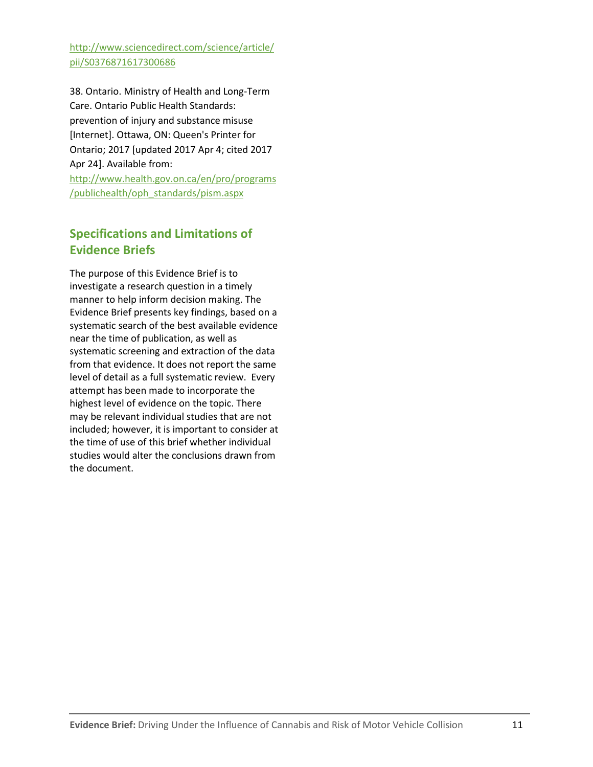[http://www.sciencedirect.com/science/article/](http://www.sciencedirect.com/science/article/pii/S0376871617300686) [pii/S0376871617300686](http://www.sciencedirect.com/science/article/pii/S0376871617300686)

38. Ontario. Ministry of Health and Long-Term Care. Ontario Public Health Standards: prevention of injury and substance misuse [Internet]. Ottawa, ON: Queen's Printer for Ontario; 2017 [updated 2017 Apr 4; cited 2017 Apr 24]. Available from: [http://www.health.gov.on.ca/en/pro/programs](http://www.health.gov.on.ca/en/pro/programs/publichealth/oph_standards/pism.aspx) [/publichealth/oph\\_standards/pism.aspx](http://www.health.gov.on.ca/en/pro/programs/publichealth/oph_standards/pism.aspx)

# **Specifications and Limitations of Evidence Briefs**

The purpose of this Evidence Brief is to investigate a research question in a timely manner to help inform decision making. The Evidence Brief presents key findings, based on a systematic search of the best available evidence near the time of publication, as well as systematic screening and extraction of the data from that evidence. It does not report the same level of detail as a full systematic review. Every attempt has been made to incorporate the highest level of evidence on the topic. There may be relevant individual studies that are not included; however, it is important to consider at the time of use of this brief whether individual studies would alter the conclusions drawn from the document.